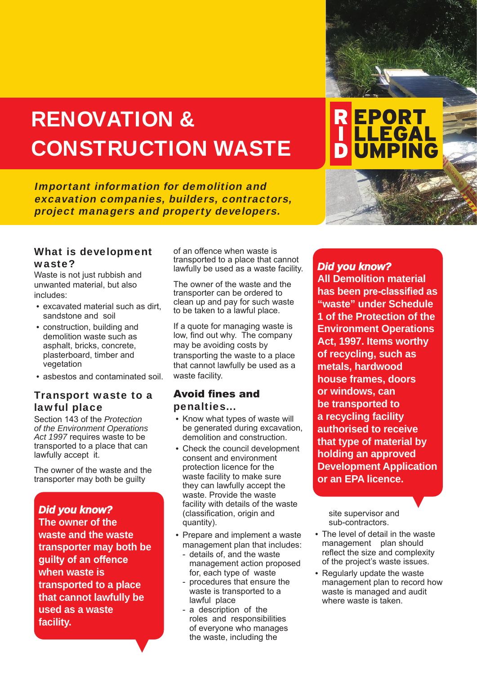# RENOVATION & CONSTRUCTION WASTE

Important information for demolition and excavation companies, builders, contractors, project managers and property developers.

#### What is development waste?

Waste is not just rubbish and unwanted material, but also includes:

- excavated material such as dirt, sandstone and soil
- construction, building and demolition waste such as asphalt, bricks, concrete, plasterboard, timber and vegetation
- asbestos and contaminated soil.

# Transport waste to a lawful place

Section 143 of the *Protection of the Environment Operations Act 1997* requires waste to be transported to a place that can lawfully accept it.

The owner of the waste and the transporter may both be guilty

## *Did you know?*

**The owner of the waste and the waste transporter may both be guilty of an offence when waste is transported to a place that cannot lawfully be used as a waste facility.**

of an offence when waste is transported to a place that cannot lawfully be used as a waste facility.

The owner of the waste and the transporter can be ordered to clean up and pay for such waste to be taken to a lawful place.

If a quote for managing waste is low, find out why. The company may be avoiding costs by transporting the waste to a place that cannot lawfully be used as a waste facility.

### Avoid fines and penalties...

- Know what types of waste will be generated during excavation, demolition and construction.
- Check the council development consent and environment protection licence for the waste facility to make sure they can lawfully accept the waste. Provide the waste facility with details of the waste (classification, origin and quantity).
- Prepare and implement a waste management plan that includes:
	- details of, and the waste management action proposed for, each type of waste
	- procedures that ensure the waste is transported to a lawful place
	- a description of the roles and responsibilities of everyone who manages the waste, including the

*Did you know?* **All Demolition material has been pre-classified as "waste" under Schedule 1 of the Protection of the Environment Operations Act, 1997. Items worthy of recycling, such as metals, hardwood house frames, doors or windows, can be transported to** 

**REPORT** 

**LLEGAL** 

**UMPING** 

**a recycling facility authorised to receive that type of material by holding an approved Development Application or an EPA licence.**

site supervisor and sub-contractors.

- The level of detail in the waste management plan should reflect the size and complexity of the project's waste issues.
- Regularly update the waste management plan to record how waste is managed and audit where waste is taken.